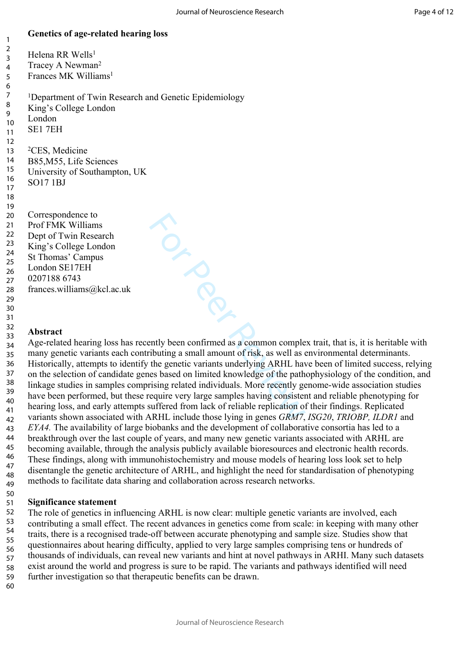## **Genetics of age-related hearing loss**

TON BOOM Helena RR Wells<sup>1</sup> Tracey A Newman<sup>2</sup> Frances MK Williams<sup>1</sup> <sup>1</sup>Department of Twin Research and Genetic Epidemiology King's College London London SE1 7EH <sup>2</sup>CES, Medicine B85,M55, Life Sciences University of Southampton, UK SO17 1BJ Correspondence to Prof FMK Williams Dept of Twin Research King's College London St Thomas' Campus London SE17EH 0207188 6743 frances.williams@kcl.ac.uk 2 3 4 5 6 7 8 9 10 11 12 13 14 15 16 17 18 19 20 21 22 23 24 25 26 27 28 29 30

### **Abstract** 32

31

1

Age-related hearing loss has recently been confirmed as a common complex trait, that is, it is heritable with many genetic variants each contributing a small amount of risk, as well as environmental determinants. Historically, attempts to identify the genetic variants underlying ARHL have been of limited success, relying on the selection of candidate genes based on limited knowledge of the pathophysiology of the condition, and linkage studies in samples comprising related individuals. More recently genome-wide association studies have been performed, but these require very large samples having consistent and reliable phenotyping for hearing loss, and early attempts suffered from lack of reliable replication of their findings. Replicated variants shown associated with ARHL include those lying in genes *GRM7*, *ISG20*, *TRIOBP, ILDR1* and *EYA4.* The availability of large biobanks and the development of collaborative consortia has led to a breakthrough over the last couple of years, and many new genetic variants associated with ARHL are becoming available, through the analysis publicly available bioresources and electronic health records. These findings, along with immunohistochemistry and mouse models of hearing loss look set to help disentangle the genetic architecture of ARHL, and highlight the need for standardisation of phenotyping methods to facilitate data sharing and collaboration across research networks. 33 34 35 36 37 38 39 40 41 42 43 44 45 46 47 48 49

#### **Significance statement** 51

The role of genetics in influencing ARHL is now clear: multiple genetic variants are involved, each contributing a small effect. The recent advances in genetics come from scale: in keeping with many other traits, there is a recognised trade-off between accurate phenotyping and sample size. Studies show that questionnaires about hearing difficulty, applied to very large samples comprising tens or hundreds of thousands of individuals, can reveal new variants and hint at novel pathways in ARHI. Many such datasets exist around the world and progress is sure to be rapid. The variants and pathways identified will need further investigation so that therapeutic benefits can be drawn. 52 53 54 55 56 57 58 59

60

50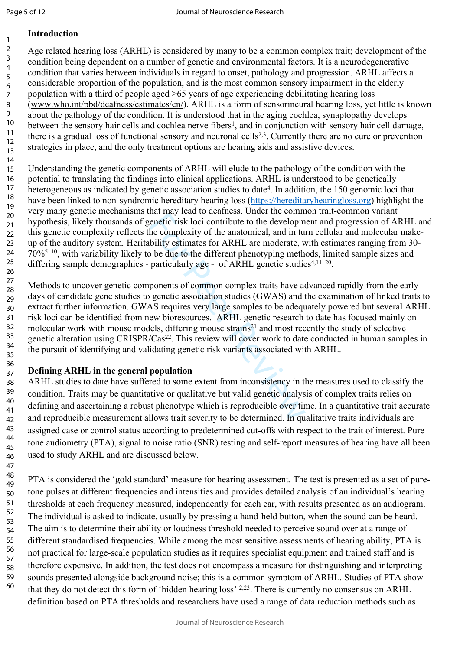1

47

# **Introduction**

Age related hearing loss (ARHL) is considered by many to be a common complex trait; development of the condition being dependent on a number of genetic and environmental factors. It is a neurodegenerative condition that varies between individuals in regard to onset, pathology and progression. ARHL affects a considerable proportion of the population, and is the most common sensory impairment in the elderly population with a third of people aged >65 years of age experiencing debilitating hearing loss ([www.who.int/pbd/deafness/estimates/en/](http://www.who.int/pbd/deafness/estimates/en/)). ARHL is a form of sensorineural hearing loss, yet little is known about the pathology of the condition. It is understood that in the aging cochlea, synaptopathy develops between the sensory hair cells and cochlea nerve fibers<sup>1</sup>, and in conjunction with sensory hair cell damage, there is a gradual loss of functional sensory and neuronal cells2,3. Currently there are no cure or prevention strategies in place, and the only treatment options are hearing aids and assistive devices. 2 3 4 5 6 7 8 9 10 11 12 13

Understanding the genetic components of ARHL will elude to the pathology of the condition with the potential to translating the findings into clinical applications. ARHL is understood to be genetically heterogeneous as indicated by genetic association studies to date<sup>4</sup>. In addition, the 150 genomic loci that have been linked to non-syndromic hereditary hearing loss (<https://hereditaryhearingloss.org>) highlight the very many genetic mechanisms that may lead to deafness. Under the common trait-common variant hypothesis, likely thousands of genetic risk loci contribute to the development and progression of ARHL and this genetic complexity reflects the complexity of the anatomical, and in turn cellular and molecular makeup of the auditory system*.* Heritability estimates for ARHL are moderate, with estimates ranging from 30- 70%5–10, with variability likely to be due to the different phenotyping methods, limited sample sizes and differing sample demographics - particularly age - of ARHL genetic studies<sup>4,11-20</sup>. 14 15 16 17 18 19 20 21 22 23 24 25 26

mation into the determined in the determined in the determined in the determined in this bility estimates for ARHL are moderate, with particularly age - of ARHL are moderate, with particularly age - of ARHL genetic studie Methods to uncover genetic components of common complex traits have advanced rapidly from the early days of candidate gene studies to genetic association studies (GWAS) and the examination of linked traits to extract further information. GWAS requires very large samples to be adequately powered but several ARHL risk loci can be identified from new bioresources. ARHL genetic research to date has focused mainly on molecular work with mouse models, differing mouse strains<sup>21</sup> and most recently the study of selective genetic alteration using CRISPR/Cas<sup>22</sup>. This review will cover work to date conducted in human samples in the pursuit of identifying and validating genetic risk variants associated with ARHL. 27 28 29 30 31 32 33 34 35

#### **Defining ARHL in the general population** 36 37

ARHL studies to date have suffered to some extent from inconsistency in the measures used to classify the condition. Traits may be quantitative or qualitative but valid genetic analysis of complex traits relies on defining and ascertaining a robust phenotype which is reproducible over time. In a quantitative trait accurate and reproducible measurement allows trait severity to be determined. In qualitative traits individuals are assigned case or control status according to predetermined cut-offs with respect to the trait of interest. Pure tone audiometry (PTA), signal to noise ratio (SNR) testing and self-report measures of hearing have all been used to study ARHL and are discussed below. 38 39 40 41 42 43 44 45 46

PTA is considered the 'gold standard' measure for hearing assessment. The test is presented as a set of puretone pulses at different frequencies and intensities and provides detailed analysis of an individual's hearing thresholds at each frequency measured, independently for each ear, with results presented as an audiogram. The individual is asked to indicate, usually by pressing a hand-held button, when the sound can be heard. The aim is to determine their ability or loudness threshold needed to perceive sound over at a range of different standardised frequencies. While among the most sensitive assessments of hearing ability, PTA is not practical for large-scale population studies as it requires specialist equipment and trained staff and is therefore expensive. In addition, the test does not encompass a measure for distinguishing and interpreting sounds presented alongside background noise; this is a common symptom of ARHL. Studies of PTA show that they do not detect this form of 'hidden hearing loss' 2,23. There is currently no consensus on ARHL definition based on PTA thresholds and researchers have used a range of data reduction methods such as 48 49 50 51 52 53 54 55 56 57 58 59 60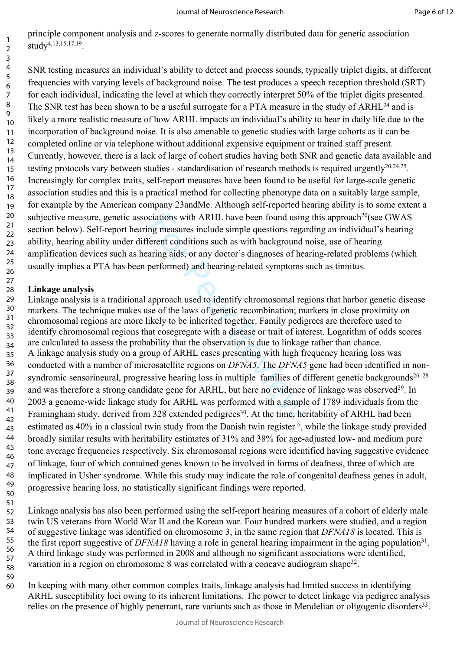principle component analysis and z-scores to generate normally distributed data for genetic association study4,13,15,17,19 .

SNR testing measures an individual's ability to detect and process sounds, typically triplet digits, at different frequencies with varying levels of background noise. The test produces a speech reception threshold (SRT) for each individual, indicating the level at which they correctly interpret 50% of the triplet digits presented. The SNR test has been shown to be a useful surrogate for a PTA measure in the study of ARHL<sup>24</sup> and is likely a more realistic measure of how ARHL impacts an individual's ability to hear in daily life due to the incorporation of background noise. It is also amenable to genetic studies with large cohorts as it can be completed online or via telephone without additional expensive equipment or trained staff present. Currently, however, there is a lack of large of cohort studies having both SNR and genetic data available and testing protocols vary between studies - standardisation of research methods is required urgently<sup>20,24,25</sup>. Increasingly for complex traits, self-report measures have been found to be useful for large-scale genetic association studies and this is a practical method for collecting phenotype data on a suitably large sample, for example by the American company 23andMe. Although self-reported hearing ability is to some extent a subjective measure, genetic associations with ARHL have been found using this approach<sup>20</sup>(see GWAS section below). Self-report hearing measures include simple questions regarding an individual's hearing ability, hearing ability under different conditions such as with background noise, use of hearing amplification devices such as hearing aids, or any doctor's diagnoses of hearing-related problems (which usually implies a PTA has been performed) and hearing-related symptoms such as tinnitus. 10 11 12 13 14 15 16 17 18 19 20 21 22 23 24 25 26

### **Linkage analysis**  27 28

ciations with ARHL have been found using<br>mg measures include simple questions rega<br>erent conditions such as with background<br>aring aids, or any doctor's diagnoses of hea<br>performed) and hearing-related symptoms<br>approach used Linkage analysis is a traditional approach used to identify chromosomal regions that harbor genetic disease markers. The technique makes use of the laws of genetic recombination; markers in close proximity on chromosomal regions are more likely to be inherited together. Family pedigrees are therefore used to identify chromosomal regions that cosegregate with a disease or trait of interest. Logarithm of odds scores are calculated to assess the probability that the observation is due to linkage rather than chance. A linkage analysis study on a group of ARHL cases presenting with high frequency hearing loss was conducted with a number of microsatellite regions on *DFNA5*. The *DFNA5* gene had been identified in nonsyndromic sensorineural, progressive hearing loss in multiple families of different genetic backgrounds<sup>26–28</sup> and was therefore a strong candidate gene for ARHL, but here no evidence of linkage was observed<sup>29</sup>. In 2003 a genome-wide linkage study for ARHL was performed with a sample of 1789 individuals from the Framingham study, derived from 328 extended pedigrees<sup>30</sup>. At the time, heritability of ARHL had been estimated as 40% in a classical twin study from the Danish twin register <sup>6</sup>, while the linkage study provided broadly similar results with heritability estimates of 31% and 38% for age-adjusted low- and medium pure tone average frequencies respectively. Six chromosomal regions were identified having suggestive evidence of linkage, four of which contained genes known to be involved in forms of deafness, three of which are implicated in Usher syndrome. While this study may indicate the role of congenital deafness genes in adult, progressive hearing loss, no statistically significant findings were reported. 29 30 31 32 33 34 35 36 37 38 39 40 41 42 43 44 45 46 47 48 49 50

Linkage analysis has also been performed using the self-report hearing measures of a cohort of elderly male twin US veterans from World War II and the Korean war. Four hundred markers were studied, and a region of suggestive linkage was identified on chromosome 3, in the same region that *DFNA18* is located. This is the first report suggestive of *DFNA18* having a role in general hearing impairment in the aging population<sup>31</sup>. A third linkage study was performed in 2008 and although no significant associations were identified, variation in a region on chromosome 8 was correlated with a concave audiogram shape $32$ . 51 52 53 54 55 56 57 58

- 59
- In keeping with many other common complex traits, linkage analysis had limited success in identifying ARHL susceptibility loci owing to its inherent limitations. The power to detect linkage via pedigree analysis relies on the presence of highly penetrant, rare variants such as those in Mendelian or oligogenic disorders<sup>33</sup>. 60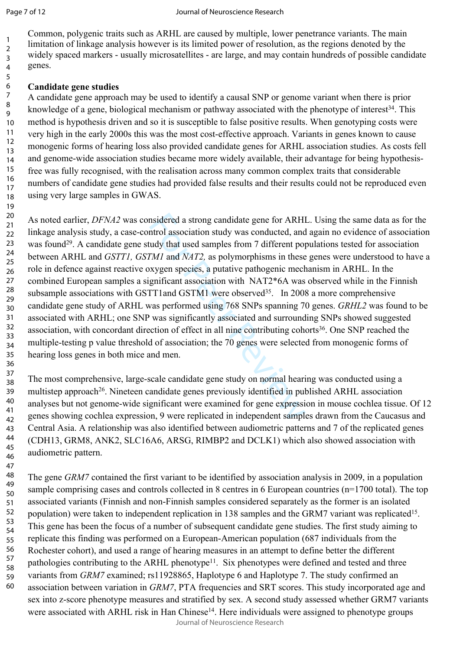19

47

Common, polygenic traits such as ARHL are caused by multiple, lower penetrance variants. The main limitation of linkage analysis however is its limited power of resolution, as the regions denoted by the widely spaced markers - usually microsatellites - are large, and may contain hundreds of possible candidate genes.

### **Candidate gene studies**

A candidate gene approach may be used to identify a causal SNP or genome variant when there is prior knowledge of a gene, biological mechanism or pathway associated with the phenotype of interest<sup>34</sup>. This method is hypothesis driven and so it is susceptible to false positive results. When genotyping costs were very high in the early 2000s this was the most cost-effective approach. Variants in genes known to cause monogenic forms of hearing loss also provided candidate genes for ARHL association studies. As costs fell and genome-wide association studies became more widely available, their advantage for being hypothesisfree was fully recognised, with the realisation across many common complex traits that considerable numbers of candidate gene studies had provided false results and their results could not be reproduced even using very large samples in GWAS. 9 10 11 12 13 14 15 16 17 18

msidered a strong candidate gene for ARHI<br>ntrol association study was conducted, and<br>udy that used samples from 7 different po<br>*FMI* and *NAT2*, as polymorphisms in these<br>exygen species, a putative pathogenic mech<br>gnifican As noted earlier, *DFNA2* was considered a strong candidate gene for ARHL. Using the same data as for the linkage analysis study, a case-control association study was conducted, and again no evidence of association was found<sup>29</sup>. A candidate gene study that used samples from 7 different populations tested for association between ARHL and *GSTT1, GSTM1* and *NAT2,* as polymorphisms in these genes were understood to have a role in defence against reactive oxygen species, a putative pathogenic mechanism in ARHL. In the combined European samples a significant association with NAT2\*6A was observed while in the Finnish subsample associations with GSTT1and GSTM1 were observed<sup>35</sup>. In 2008 a more comprehensive candidate gene study of ARHL was performed using 768 SNPs spanning 70 genes. *GRHL2* was found to be associated with ARHL; one SNP was significantly associated and surrounding SNPs showed suggested association, with concordant direction of effect in all nine contributing cohorts<sup>36</sup>. One SNP reached the multiple-testing p value threshold of association; the 70 genes were selected from monogenic forms of hearing loss genes in both mice and men. 20 21 22 23 24 25 26 27 28 29 30 31 32 33 34 35 36

The most comprehensive, large-scale candidate gene study on normal hearing was conducted using a multistep approach<sup>26</sup>. Nineteen candidate genes previously identified in published ARHL association analyses but not genome-wide significant were examined for gene expression in mouse cochlea tissue. Of 12 genes showing cochlea expression, 9 were replicated in independent samples drawn from the Caucasus and Central Asia. A relationship was also identified between audiometric patterns and 7 of the replicated genes (CDH13, GRM8, ANK2, SLC16A6, ARSG, RIMBP2 and DCLK1) which also showed association with audiometric pattern. 37 38 39 40 41 42 43 44 45 46

The gene *GRM7* contained the first variant to be identified by association analysis in 2009, in a population sample comprising cases and controls collected in 8 centres in 6 European countries (n=1700 total). The top associated variants (Finnish and non-Finnish samples considered separately as the former is an isolated population) were taken to independent replication in 138 samples and the GRM7 variant was replicated<sup>15</sup>. This gene has been the focus of a number of subsequent candidate gene studies. The first study aiming to replicate this finding was performed on a European-American population (687 individuals from the Rochester cohort), and used a range of hearing measures in an attempt to define better the different pathologies contributing to the ARHL phenotype<sup>11</sup>. Six phenotypes were defined and tested and three variants from *GRM7* examined; rs11928865, Haplotype 6 and Haplotype 7. The study confirmed an association between variation in *GRM7*, PTA frequencies and SRT scores. This study incorporated age and sex into z-score phenotype measures and stratified by sex. A second study assessed whether GRM7 variants were associated with ARHL risk in Han Chinese<sup>14</sup>. Here individuals were assigned to phenotype groups 48 49 50 51 52 53 54 55 56 57 58 59 60

Journal of Neuroscience Research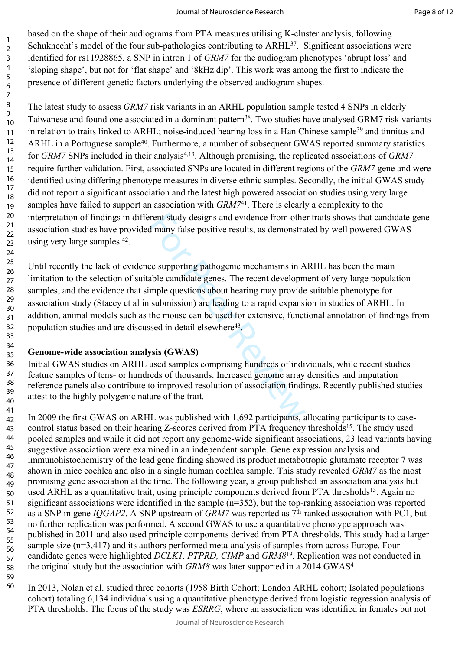based on the shape of their audiograms from PTA measures utilising K-cluster analysis, following Schuknecht's model of the four sub-pathologies contributing to ARHL<sup>37</sup>. Significant associations were identified for rs11928865, a SNP in intron 1 of *GRM7* for the audiogram phenotypes 'abrupt loss' and 'sloping shape', but not for 'flat shape' and '8kHz dip'. This work was among the first to indicate the presence of different genetic factors underlying the observed audiogram shapes.

The latest study to assess *GRM7* risk variants in an ARHL population sample tested 4 SNPs in elderly Taiwanese and found one associated in a dominant pattern<sup>38</sup>. Two studies have analysed GRM7 risk variants in relation to traits linked to ARHL; noise-induced hearing loss in a Han Chinese sample<sup>39</sup> and tinnitus and ARHL in a Portuguese sample<sup>40</sup>. Furthermore, a number of subsequent GWAS reported summary statistics for *GRM7* SNPs included in their analysis<sup>4,13</sup>. Although promising, the replicated associations of *GRM7* require further validation. First, associated SNPs are located in different regions of the *GRM7* gene and were identified using differing phenotype measures in diverse ethnic samples. Secondly, the initial GWAS study did not report a significant association and the latest high powered association studies using very large samples have failed to support an association with *GRM7*<sup>41</sup>. There is clearly a complexity to the interpretation of findings in different study designs and evidence from other traits shows that candidate gene association studies have provided many false positive results, as demonstrated by well powered GWAS using very large samples <sup>42</sup>. 10 11 12 13 14 15 16 17 18 19 20 21 22 23

rent study designs and evidence from othe<br>d many false positive results, as demonstra<br>ce supporting pathogenic mechanisms in A<br>able candidate genes. The recent developm<br>mple questions about hearing may provide<br>submission) Until recently the lack of evidence supporting pathogenic mechanisms in ARHL has been the main limitation to the selection of suitable candidate genes. The recent development of very large population samples, and the evidence that simple questions about hearing may provide suitable phenotype for association study (Stacey et al in submission) are leading to a rapid expansion in studies of ARHL. In addition, animal models such as the mouse can be used for extensive, functional annotation of findings from population studies and are discussed in detail elsewhere<sup>43</sup>. 25 26 27 28 29 30 31 32 33

### **Genome-wide association analysis (GWAS)** 34 35

Initial GWAS studies on ARHL used samples comprising hundreds of individuals, while recent studies feature samples of tens- or hundreds of thousands. Increased genome array densities and imputation reference panels also contribute to improved resolution of association findings. Recently published studies attest to the highly polygenic nature of the trait. 36 37 38 39 40

In 2009 the first GWAS on ARHL was published with 1,692 participants, allocating participants to casecontrol status based on their hearing Z-scores derived from PTA frequency thresholds<sup>15</sup>. The study used pooled samples and while it did not report any genome-wide significant associations, 23 lead variants having suggestive association were examined in an independent sample. Gene expression analysis and immunohistochemistry of the lead gene finding showed its product metabotropic glutamate receptor 7 was shown in mice cochlea and also in a single human cochlea sample. This study revealed *GRM7* as the most promising gene association at the time. The following year, a group published an association analysis but used ARHL as a quantitative trait, using principle components derived from PTA thresholds<sup>13</sup>. Again no significant associations were identified in the sample (n=352), but the top-ranking association was reported as a SNP in gene *IQGAP2*. A SNP upstream of *GRM7* was reported as 7th-ranked association with PC1, but no further replication was performed. A second GWAS to use a quantitative phenotype approach was published in 2011 and also used principle components derived from PTA thresholds. This study had a larger sample size (n=3,417) and its authors performed meta-analysis of samples from across Europe. Four candidate genes were highlighted *DCLK1, PTPRD, CIMP* and *GRM8*<sup>19</sup> *.* Replication was not conducted in the original study but the association with *GRM8* was later supported in a 2014 GWAS<sup>4</sup> . 41 42 43 44 45 46 47 48 49 50 51 52 53 54 55 56 57 58

59 60

24

In 2013, Nolan et al. studied three cohorts (1958 Birth Cohort; London ARHL cohort; Isolated populations cohort) totaling 6,134 individuals using a quantitative phenotype derived from logistic regression analysis of PTA thresholds. The focus of the study was *ESRRG*, where an association was identified in females but not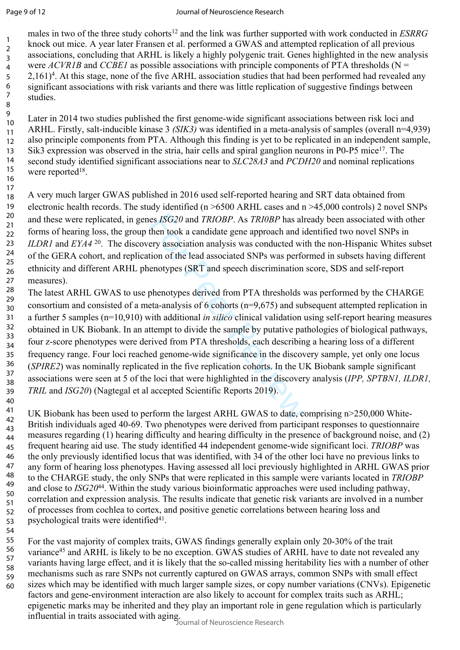Page 9 of 12

males in two of the three study cohorts<sup>12</sup> and the link was further supported with work conducted in *ESRRG* knock out mice. A year later Fransen et al. performed a GWAS and attempted replication of all previous associations, concluding that ARHL is likely a highly polygenic trait. Genes highlighted in the new analysis were *ACVR1B* and *CCBE1* as possible associations with principle components of PTA thresholds (N = 2,161)<sup>4</sup>. At this stage, none of the five ARHL association studies that had been performed had revealed any significant associations with risk variants and there was little replication of suggestive findings between studies.

Later in 2014 two studies published the first genome-wide significant associations between risk loci and ARHL. Firstly, salt-inducible kinase 3 *(SIK3)* was identified in a meta-analysis of samples (overall n=4,939) also principle components from PTA. Although this finding is yet to be replicated in an independent sample, Sik3 expression was observed in the stria, hair cells and spiral ganglion neurons in P0-P5 mice<sup>17</sup>. The second study identified significant associations near to *SLC28A3* and *PCDH20* and nominal replications were reported<sup>18</sup>. 10 11 12 13 14 15 16

A very much larger GWAS published in 2016 used self-reported hearing and SRT data obtained from electronic health records. The study identified (n >6500 ARHL cases and n >45,000 controls) 2 novel SNPs and these were replicated, in genes *ISG20* and *TRIOBP*. As *TRI0BP* has already been associated with other forms of hearing loss, the group then took a candidate gene approach and identified two novel SNPs in *ILDR1* and *EYA4*<sup>20</sup>. The discovery association analysis was conducted with the non-Hispanic Whites subset of the GERA cohort, and replication of the lead associated SNPs was performed in subsets having different ethnicity and different ARHL phenotypes (SRT and speech discrimination score, SDS and self-report measures). 17 18 19 20 21 22 23 24 25 26 27

es *ISG20* and *TRIOBP*. As *TRI0BP* has alt<br>then took a candidate gene approach and idery association analysis was conducted wit<br>tion of the lead associated SNPs was performentypes (SRT and speech discrimination<br>phenotyp The latest ARHL GWAS to use phenotypes derived from PTA thresholds was performed by the CHARGE consortium and consisted of a meta-analysis of 6 cohorts (n=9,675) and subsequent attempted replication in a further 5 samples (n=10,910) with additional *in silico* clinical validation using self-report hearing measures obtained in UK Biobank. In an attempt to divide the sample by putative pathologies of biological pathways, four z-score phenotypes were derived from PTA thresholds, each describing a hearing loss of a different frequency range. Four loci reached genome-wide significance in the discovery sample, yet only one locus (*SPIRE2*) was nominally replicated in the five replication cohorts. In the UK Biobank sample significant associations were seen at 5 of the loci that were highlighted in the discovery analysis (*IPP, SPTBN1, ILDR1, TRIL* and *ISG20*) (Nagtegal et al accepted Scientific Reports 2019). 28 29 30 31 32 33 34 35 36 37 38 39 40

UK Biobank has been used to perform the largest ARHL GWAS to date, comprising n>250,000 White-British individuals aged 40-69. Two phenotypes were derived from participant responses to questionnaire measures regarding (1) hearing difficulty and hearing difficulty in the presence of background noise, and (2) frequent hearing aid use. The study identified 44 independent genome-wide significant loci. *TRIOBP* was the only previously identified locus that was identified, with 34 of the other loci have no previous links to any form of hearing loss phenotypes. Having assessed all loci previously highlighted in ARHL GWAS prior to the CHARGE study, the only SNPs that were replicated in this sample were variants located in *TRIOBP* and close to *ISG20*<sup>44</sup>. Within the study various bioinformatic approaches were used including pathway, correlation and expression analysis. The results indicate that genetic risk variants are involved in a number of processes from cochlea to cortex, and positive genetic correlations between hearing loss and psychological traits were identified<sup>41</sup>. 41 42 43 44 45 46 47 48 49 50 51 52 53

54

For the vast majority of complex traits, GWAS findings generally explain only 20-30% of the trait variance<sup>45</sup> and ARHL is likely to be no exception. GWAS studies of ARHL have to date not revealed any variants having large effect, and it is likely that the so-called missing heritability lies with a number of other mechanisms such as rare SNPs not currently captured on GWAS arrays, common SNPs with small effect sizes which may be identified with much larger sample sizes, or copy number variations (CNVs). Epigenetic factors and gene-environment interaction are also likely to account for complex traits such as ARHL; epigenetic marks may be inherited and they play an important role in gene regulation which is particularly influential in traits associated with aging. Journal of Neuroscience Research 55 56 57 58 59 60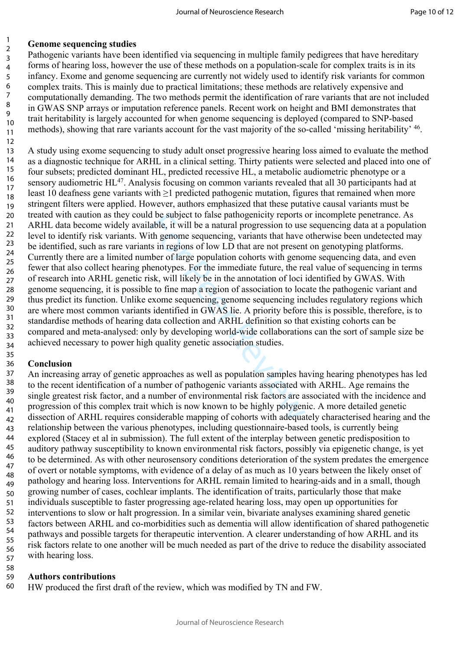# **Genome sequencing studies**

Pathogenic variants have been identified via sequencing in multiple family pedigrees that have hereditary forms of hearing loss, however the use of these methods on a population-scale for complex traits is in its infancy. Exome and genome sequencing are currently not widely used to identify risk variants for common complex traits. This is mainly due to practical limitations; these methods are relatively expensive and computationally demanding. The two methods permit the identification of rare variants that are not included in GWAS SNP arrays or imputation reference panels. Recent work on height and BMI demonstrates that trait heritability is largely accounted for when genome sequencing is deployed (compared to SNP-based methods), showing that rare variants account for the vast majority of the so-called 'missing heritability' <sup>46</sup>. 10 11

d be subject to talse pathogenicity reports a<br>able, it will be a natural progression to use<br>tith genome sequencing, variants that have<br>ts in regions of low LD that are not presen-<br>nber of large population cohorts with geno A study using exome sequencing to study adult onset progressive hearing loss aimed to evaluate the method as a diagnostic technique for ARHL in a clinical setting. Thirty patients were selected and placed into one of four subsets; predicted dominant HL, predicted recessive HL, a metabolic audiometric phenotype or a sensory audiometric HL<sup>47</sup>. Analysis focusing on common variants revealed that all 30 participants had at least 10 deafness gene variants with ≥1 predicted pathogenic mutation, figures that remained when more stringent filters were applied. However, authors emphasized that these putative causal variants must be treated with caution as they could be subject to false pathogenicity reports or incomplete penetrance. As ARHL data become widely available, it will be a natural progression to use sequencing data at a population level to identify risk variants. With genome sequencing, variants that have otherwise been undetected may be identified, such as rare variants in regions of low LD that are not present on genotyping platforms. Currently there are a limited number of large population cohorts with genome sequencing data, and even fewer that also collect hearing phenotypes. For the immediate future, the real value of sequencing in terms of research into ARHL genetic risk, will likely be in the annotation of loci identified by GWAS. With genome sequencing, it is possible to fine map a region of association to locate the pathogenic variant and thus predict its function. Unlike exome sequencing, genome sequencing includes regulatory regions which are where most common variants identified in GWAS lie. A priority before this is possible, therefore, is to standardise methods of hearing data collection and ARHL definition so that existing cohorts can be compared and meta-analysed: only by developing world-wide collaborations can the sort of sample size be achieved necessary to power high quality genetic association studies. 12 13 14 15 16 17 18 19 20 21 22 23 24 25 26 27 28 29 30 31 32 33 34

#### **Conclusion** 36

35

58

An increasing array of genetic approaches as well as population samples having hearing phenotypes has led to the recent identification of a number of pathogenic variants associated with ARHL. Age remains the single greatest risk factor, and a number of environmental risk factors are associated with the incidence and progression of this complex trait which is now known to be highly polygenic. A more detailed genetic dissection of ARHL requires considerable mapping of cohorts with adequately characterised hearing and the relationship between the various phenotypes, including questionnaire-based tools, is currently being explored (Stacey et al in submission). The full extent of the interplay between genetic predisposition to auditory pathway susceptibility to known environmental risk factors, possibly via epigenetic change, is yet to be determined. As with other neurosensory conditions deterioration of the system predates the emergence of overt or notable symptoms, with evidence of a delay of as much as 10 years between the likely onset of pathology and hearing loss. Interventions for ARHL remain limited to hearing-aids and in a small, though growing number of cases, cochlear implants. The identification of traits, particularly those that make individuals susceptible to faster progressing age-related hearing loss, may open up opportunities for interventions to slow or halt progression. In a similar vein, bivariate analyses examining shared genetic factors between ARHL and co-morbidities such as dementia will allow identification of shared pathogenetic pathways and possible targets for therapeutic intervention. A clearer understanding of how ARHL and its risk factors relate to one another will be much needed as part of the drive to reduce the disability associated with hearing loss. 37 38 39 40 41 42 43 44 45 46 47 48 49 50 51 52 53 54 55 56 57

#### **Authors contributions** 59

HW produced the first draft of the review, which was modified by TN and FW. 60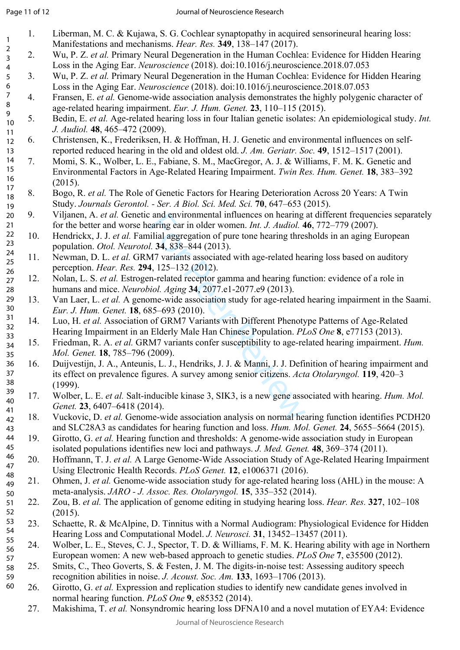1

- 1. Liberman, M. C. & Kujawa, S. G. Cochlear synaptopathy in acquired sensorineural hearing loss: Manifestations and mechanisms. *Hear. Res.* **349**, 138–147 (2017).
- 2. Wu, P. Z. *et al.* Primary Neural Degeneration in the Human Cochlea: Evidence for Hidden Hearing Loss in the Aging Ear. *Neuroscience* (2018). doi:10.1016/j.neuroscience.2018.07.053 2 3 4
- 3. Wu, P. Z. *et al.* Primary Neural Degeneration in the Human Cochlea: Evidence for Hidden Hearing Loss in the Aging Ear. *Neuroscience* (2018). doi:10.1016/j.neuroscience.2018.07.053 5 6
- 4. Fransen, E. *et al.* Genome-wide association analysis demonstrates the highly polygenic character of age-related hearing impairment. *Eur. J. Hum. Genet.* **23**, 110–115 (2015). 7 8 9
- 5. Bedin, E. *et al.* Age-related hearing loss in four Italian genetic isolates: An epidemiological study. *Int. J. Audiol.* **48**, 465–472 (2009). 10 11
- 6. Christensen, K., Frederiksen, H. & Hoffman, H. J. Genetic and environmental influences on selfreported reduced hearing in the old and oldest old. *J. Am. Geriatr. Soc.* **49**, 1512–1517 (2001). 12 13
- 7. Momi, S. K., Wolber, L. E., Fabiane, S. M., MacGregor, A. J. & Williams, F. M. K. Genetic and Environmental Factors in Age-Related Hearing Impairment. *Twin Res. Hum. Genet.* **18**, 383–392 (2015). 14 15 16 17
- 8. Bogo, R. *et al.* The Role of Genetic Factors for Hearing Deterioration Across 20 Years: A Twin Study. *Journals Gerontol. - Ser. A Biol. Sci. Med. Sci.* **70**, 647–653 (2015). 18 19
- 9. Viljanen, A. *et al.* Genetic and environmental influences on hearing at different frequencies separately for the better and worse hearing ear in older women. *Int. J. Audiol.* **46**, 772–779 (2007). 20 21
- 10. Hendrickx, J. J. *et al.* Familial aggregation of pure tone hearing thresholds in an aging European population. *Otol. Neurotol.* **34**, 838–844 (2013). 22 23
- 11. Newman, D. L. *et al.* GRM7 variants associated with age-related hearing loss based on auditory perception. *Hear. Res.* **294**, 125–132 (2012). 24 25 26
- 12. Nolan, L. S. *et al.* Estrogen-related receptor gamma and hearing function: evidence of a role in humans and mice. *Neurobiol. Aging* **34**, 2077.e1-2077.e9 (2013). 27 28
- 13. Van Laer, L. *et al.* A genome-wide association study for age-related hearing impairment in the Saami. *Eur. J. Hum. Genet.* **18**, 685–693 (2010). 29 30
- 14. Luo, H. *et al.* Association of GRM7 Variants with Different Phenotype Patterns of Age-Related Hearing Impairment in an Elderly Male Han Chinese Population. *PLoS One* **8**, e77153 (2013). 31 32 33
- 15. Friedman, R. A. *et al.* GRM7 variants confer susceptibility to age-related hearing impairment. *Hum. Mol. Genet.* **18**, 785–796 (2009). 34 35
- and environmental influences on hearing<br>earing ear in older women. *Int. J. Audiol.* 4<br>ilial aggregation of pure tone hearing thres<br>*l.* **34**, 838–844 (2013).<br>M7 variants associated with age-related hearing func-<br>1, 125–1 16. Duijvestijn, J. A., Anteunis, L. J., Hendriks, J. J. & Manni, J. J. Definition of hearing impairment and its effect on prevalence figures. A survey among senior citizens. *Acta Otolaryngol.* **119**, 420–3 (1999). 36 37 38
- 17. Wolber, L. E. *et al.* Salt-inducible kinase 3, SIK3, is a new gene associated with hearing. *Hum. Mol. Genet.* **23**, 6407–6418 (2014). 39 40 41
- 18. Vuckovic, D. *et al.* Genome-wide association analysis on normal hearing function identifies PCDH20 and SLC28A3 as candidates for hearing function and loss. *Hum. Mol. Genet.* **24**, 5655–5664 (2015). 42 43
- 19. Girotto, G. *et al.* Hearing function and thresholds: A genome-wide association study in European isolated populations identifies new loci and pathways. *J. Med. Genet.* **48**, 369–374 (2011). 44 45
- 20. Hoffmann, T. J. *et al.* A Large Genome-Wide Association Study of Age-Related Hearing Impairment Using Electronic Health Records. *PLoS Genet.* **12**, e1006371 (2016). 46 47 48
- 21. Ohmen, J. *et al.* Genome-wide association study for age-related hearing loss (AHL) in the mouse: A meta-analysis. *JARO - J. Assoc. Res. Otolaryngol.* **15**, 335–352 (2014). 49 50
- 22. Zou, B. *et al.* The application of genome editing in studying hearing loss. *Hear. Res.* **327**, 102–108 (2015). 51 52
- 23. Schaette, R. & McAlpine, D. Tinnitus with a Normal Audiogram: Physiological Evidence for Hidden Hearing Loss and Computational Model. *J. Neurosci.* **31**, 13452–13457 (2011). 53 54 55
- 24. Wolber, L. E., Steves, C. J., Spector, T. D. & Williams, F. M. K. Hearing ability with age in Northern European women: A new web-based approach to genetic studies. *PLoS One* **7**, e35500 (2012). 56 57
- 25. Smits, C., Theo Goverts, S. & Festen, J. M. The digits-in-noise test: Assessing auditory speech recognition abilities in noise. *J. Acoust. Soc. Am.* **133**, 1693–1706 (2013). 58 59 60
	- 26. Girotto, G. *et al.* Expression and replication studies to identify new candidate genes involved in normal hearing function. *PLoS One* **9**, e85352 (2014).
		- 27. Makishima, T. *et al.* Nonsyndromic hearing loss DFNA10 and a novel mutation of EYA4: Evidence